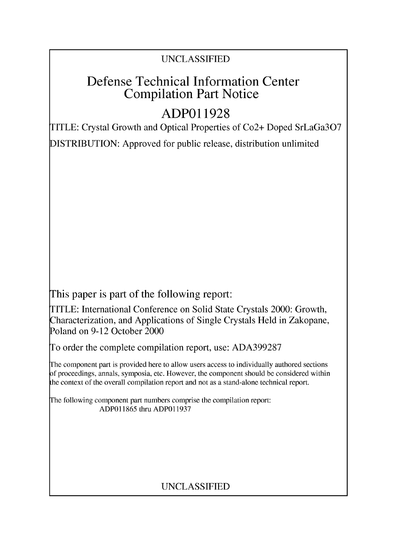# UNCLASSIFIED

# Defense Technical Information Center Compilation Part Notice

# **ADPO1 1928**

TITLE: Crystal Growth and Optical Properties of Co2+ Doped SrLaGa307

DISTRIBUTION: Approved for public release, distribution unlimited

This paper is part of the following report:

TITLE: International Conference on Solid State Crystals 2000: Growth, Characterization, and Applications of Single Crystals Held in Zakopane, Poland on 9-12 October 2000

To order the complete compilation report, use: ADA399287

The component part is provided here to allow users access to individually authored sections f proceedings, annals, symposia, etc. However, the component should be considered within [he context of the overall compilation report and not as a stand-alone technical report.

The following component part numbers comprise the compilation report: ADP011865 thru ADP011937

# UNCLASSIFIED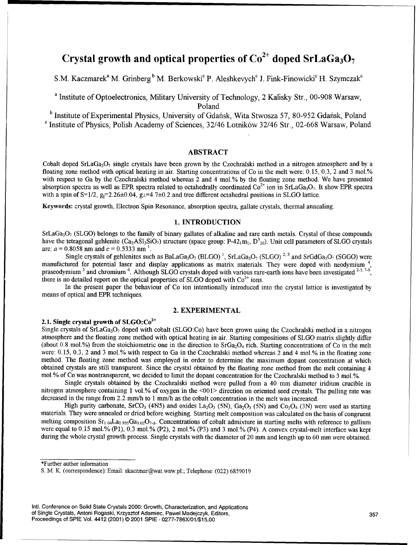# Crystal growth and optical properties of  $Co^{2+}$  doped SrLaGa<sub>3</sub>O<sub>7</sub>

S.M. Kaczmarek<sup>a</sup> M. Grinberg<sup>b</sup> M. Berkowski<sup>c</sup> P. Aleshkevych<sup>c</sup> J. Fink-Finowicki<sup>c</sup> H. Szymczak<sup>c</sup>

<sup>a</sup> Institute of Optoelectronics, Military University of Technology, 2 Kalisky Str., 00-908 Warsaw, Poland

<sup>b</sup> Institute of Experimental Physics, University of Gdańsk, Wita Stwosza 57, 80-952 Gdańsk, Poland<br><sup>c</sup> Institute of Physics, Polish Academy of Sciences, 32/46 Lotników 32/46 Str., 02-668 Warsaw, Poland

# ABSTRACT

Cobalt doped SrLaGa<sub>3</sub>O<sub>7</sub> single crystals have been grown by the Czochralski method in a nitrogen atmosphere and by a floating zone method with optical heating in air. Starting concentrations of Co in the melt were: 0.15, 0.3, 2 and 3 mol.% with respect to Ga by the Czochralski method whereas 2 and 4 mol.% by the floating zone method. We have presented absorption spectra as well as EPR spectra related to octahedrally coordinated  $Co^{2+}$  ion in SrLaGa<sub>3</sub>O<sub>7</sub>. It show EPR spectra with a spin of  $S=1/2$ ,  $g_{\parallel}=2.26\pm0.04$ ,  $g_{\perp}=4.7\pm0.2$  and tree different octahedral positions in SLGO lattice.

Keywords: crystal growth, Electron Spin Resonance, absorption spectra, gallate crystals, thermal annealing.

# 1. **INTRODUCTION**

 $SrLaGa<sub>3</sub>O<sub>7</sub>$  (SLGO) belongs to the family of binary gallates of alkaline and rare earth metals. Crystal of these compounds have the tetragonal gehlenite (Ca<sub>2</sub>AS1<sub>2</sub>SiO<sub>7</sub>) structure (space group: P-42<sub>1</sub>m<sub>1</sub>, D<sup>3</sup><sub>2d</sub>). Unit cell parameters of SLGO crystals are:  $a = 0.8058$  nm and  $c = 0.5333$  nm <sup>1</sup>.

Single crystals of gehlenites such as BaLaGa<sub>3</sub>O<sub>7</sub> (BLGO)<sup>1</sup>, SrLaGa<sub>3</sub>O<sub>7</sub> (SLGO)<sup>2,3</sup> and SrGdGa<sub>3</sub>O<sub>7</sub> (SGGO) were manufactured for potential laser and display applications as matrix materials. They were doped with neodymium <sup>4</sup> praseodymium <sup>5</sup> and chromium <sup>6</sup>. Although SLGO crystals doped with various rare-earth ions have been investigated <sup>2-5, 7-9</sup>, there is no detailed report on the optical properties of SLGO doped with  $Co<sup>2+</sup>$  ions.

In the present paper the behaviour of Co ion intentionally introduced into the crystal lattice is investigated by means of optical and EPR techniques.

### 2. EXPERIMENTAL

## 2.1. Single crystal growth of  $SLGO:Co<sup>2+</sup>$

Single crystals of SrLaGa<sub>3</sub>O<sub>7</sub> doped with cobalt (SLGO:Co) have been grown using the Czochralski method in a nitroger atmosphere and the floating zone method with optical heating in air. Starting compositions of **SLGO** matrix slightly differ (about 0.8 mol.%) from the stoichiometric one in the direction to  $SrGa<sub>2</sub>O<sub>4</sub>$  rich. Starting concentrations of Co in the melt -were: 0.15, 0.3, 2 and 3 mol.% with respect to Ga in the Czochralski method whereas 2 and 4 mol.% in the floating zone method. The floating zone method was employed in order to determine the maximum dopant concentration at which obtained crystals are still transparent. Since the crystal obtained by the floating zone method from the melt containing 4 mol.% of Co was nontransparent, we decided to limit the dopant concentration for the Czochralski method to 3 mol.%.

Single crystals obtained by the Czochralski method were pulled from a 40 mm diameter iridium crucible in nitrogen atmosphere containing 1 vol.% of oxygen in the <001> direction on oriented seed crystals. The pulling rate was decreased in the range from 2.2 mm/h to 1 mrn/h as the cobalt concentration in the melt was increased.

High purity carbonate, SrCO<sub>3</sub> (4N5) and oxides La<sub>2</sub>O<sub>3</sub> (5N), Ga<sub>2</sub>O<sub>3</sub> (5N) and Co<sub>3</sub>O<sub>4</sub> (3N) were used as starting materials. They were annealed or dried before weighing. Starting melt composition was calculated on the basis of congruent melting composition  $Sr_{1,04}La_{0.935}Ga_{3.02}O_{7.8}$ . Concentrations of cobalt admixture in starting melts with reference to gallium were equal to 0.15 mol.% (P1), 0.3 mol.% (P2), 2 mol.% (P3) and 3 mol.% (P4). A convex crystal-melt interface was kept during the whole crystal growth process. Single crystals with the diameter of 20 mm and length up to 60 mm were obtained.

\*Further author information

Intl. Conference on Solid State Crystals 2000: Growth, Characterization, and Applications of Single Crystals, Antoni Rogaski, Krzysztof Adamiec, Pawel Madejczyk, Editors, 357 Proceedings of SPIE Vol. 4412 (2001) © 2001 SPIE · 0277-786X/01/\$15.00

**S.** M. K. (correspondence): Email: skaczmar@wat.waw.pl.; Telephone: (022) 6859019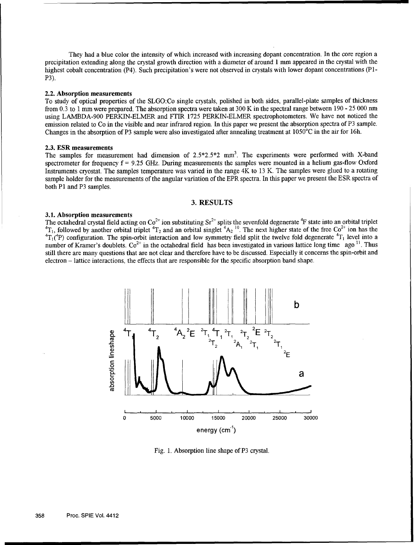They had a blue color the intensity of which increased with increasing dopant concentration. In the core region a precipitation extending along the crystal growth direction with a diameter of around 1 mm appeared in the crystal with the highest cobalt concentration (P4). Such precipitation's were not observed in crystals with lower dopant concentrations (P1-P3).

#### 2.2. Absorption measurements

To study of optical properties of the SLGO:Co single crystals, polished in both sides, parallel-plate samples of thickness from 0.3 to 1 mm were prepared. The absorption spectra were taken at 300 K in the spectral range between 190 - 25 000 nm using LAMBDA-900 PERKIN-ELMER and FTIR 1725 PERKIN-ELMER spectrophotometers. We have not noticed the emission related to Co in the visible and near infrared region. In this paper we present the absorption spectra of P3 sample. Changes in the absorption of P3 sample were also investigated after annealing treatment at 1050'C in the air for 16h.

#### 2.3. ESR measurements

The samples for measurement had dimension of  $2.5*2.5*2$  mm<sup>3</sup>. The experiments were performed with X-band spectrometer for frequency  $f = 9.25$  GHz. During measurements the samples were mounted in a helium gas-flow Oxford Instruments cryostat. The samples temperature was varied in the range 4K to 13 K. The samples were glued to a rotating sample holder for the measurements of the angular variation of the EPR spectra. In this paper we present the ESR spectra of both P1 and P3 samples.

# **3.** RESULTS

### 3.1. Absorption measurements

The octahedral crystal field acting on Co<sup>2+</sup> ion substituting Sr<sup>2+</sup> splits the sevenfold degenerate <sup>4</sup>F state into an orbital triplet  $^{4}T_1$ , followed by another orbital triplet  $^{4}T_2$  and an orbital singlet  $^{4}A_$ <sup>4</sup>T<sub>1</sub>, followed by another orbital triplet <sup>4</sup>T<sub>2</sub> and an orbital singlet <sup>4</sup>A<sub>2</sub> <sup>10</sup>. The next higher state of the free Co<sup>2+</sup> ion has the  ${}^{4}T_{1}$  (<sup>4</sup>P) configuration. The spin-orbit interaction and low symmetry f number of Kramer's doublets.  $Co^{2+}$  in the octahedral field has been investigated in various lattice long time ago <sup>11</sup>. Thus still there are many questions that are not clear and therefore have to be discussed. Especially it concerns the spin-orbit and electron - lattice interactions, the effects that are responsible for the specific absorption band shape.



Fig. 1. Absorption line shape of P3 crystal.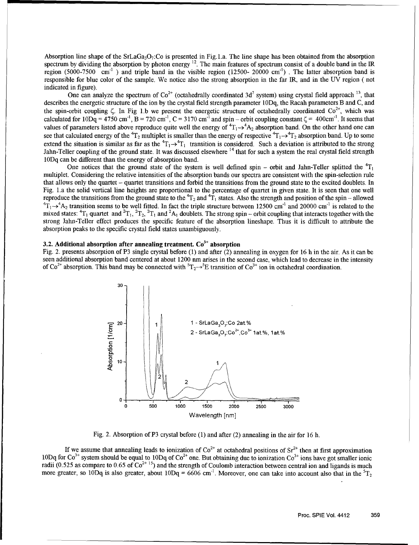Absorption line shape of the SrLaGa<sub>3</sub>O<sub>7</sub>:Co is presented in Fig. 1.a. The line shape has been obtained from the absorption spectrum by dividing the absorption by photon energy **12.** The main features of spectrum consist of a double band in the JR region (5000-7500  $cm^{-1}$ ) and triple band in the visible region (12500- 20000 cm<sup>-1</sup>). The latter absorption band is responsible for blue color of the sample. We notice also the strong absorption in the far IR, and in the UV region ( not indicated in figure).

One can analyze the spectrum of  $\text{Co}^{2+}$  (octahedrally coordinated 3d<sup>7</sup> system) using crystal field approach <sup>13</sup>, that describes the energetic structure of the ion by the crystal field strength parameter  $10Dq$ , the Racah parameters B and C, and the spin-orbit coupling  $\zeta$ . In Fig 1.b we present the energetic structure of octahedrally coordinated  $\text{Co}^{2+}$ , which was calculated for  $10Dq = 4750 \text{ cm}^{-1}$ ,  $B = 720 \text{ cm}^{-1}$ ,  $C = 3170 \text{ cm}^{-1}$  and spin – orbit coupling constant  $\zeta = 400 \text{ cm}^{-1}$ . It seems that values of parameters listed above reproduce quite well the energy of  ${}^4T_1 \rightarrow {}^4A_2$  absorption band. On the other hand one can see that calculated energy of the <sup>4</sup>T<sub>2</sub> multiplet is smaller than the energy of respective <sup>4</sup>T<sub>1</sub> $\rightarrow$ <sup>4</sup>T<sub>2</sub> absorption band. Up to some extend the situation is similar as far as the  ${}^4T_1 \rightarrow {}^4T_1$  transition is considered. Such a deviation is attributed to the strong Jahn-Teller coupling of the ground state. It was discussed elsewhere <sup>14</sup> that for such a system the real crystal field strength 1ODq can be different than the energy of absorption band.

One notices that the ground state of the system is well defined spin – orbit and Jahn-Teller splitted the  ${}^{4}T_1$ multiplet. Considering the relative intensities of the absorption bands our spectra are consistent with the spin-selection rule that allows only the quartet - quartet transitions and forbid the transitions from the ground state to the excited doublets. In Fig. L.a the solid vertical line heights are proportional to the percentage of quartet in given state. It is seen that one well reproduce the transitions from the ground state to the  ${}^{4}T_2$  and  ${}^{4}T_1$  states. Also the strength and position of the spin – allowed  $T_1 \rightarrow A_2$  transition seems to be well fitted. In fact the triple structure between 12500 cm<sup>-1</sup> and 20000 cm<sup>-1</sup> is related to the mixed states:  ${}^{4}T_1$  quartet and  ${}^{2}T_1$ ,  ${}^{2}T_2$ ,  ${}^{2}T_1$  and  ${}^{2}A_1$  doublets. The strong spin – orbit coupling that interacts together with the strong Jahn-Teller effect produces the specific feature of the absorption lineshape. Thus it is difficult to attribute the absorption peaks to the specific crystal field states unambiguously.

# **3.2.** Additional absorption after annealing treatment. **Co3 +** absorption

Fig. 2. presents absorption of P3 single crystal before (1) and after (2) annealing in oxygen for 16 **h** in the air. As it can be seen additional absorption band centered at about 1200 nm arises in the second case, which lead to decrease in the intensity of  $Co^{2+}$  absorption. This band may be connected with  ${}^{5}T_{2} \rightarrow {}^{5}E$  transition of  $Co^{3+}$  ion in octahedral coordination.



Fig. 2. Absorption of P3 crystal before (1) and after (2) annealing in the air for 16 h.

If we assume that annealing leads to ionization of  $\text{Co}^{2+}$  at octahedral positions of  $\text{Sr}^{2+}$  then at first approximation 10Dq for  $Co^{3+}$  system should be equal to 10Dq of  $Co^{2+}$  one. But obtaining due to ionization  $Co^{3+}$  ions have got smaller ionic radii  $(0.525$  as compare to  $0.65$  of  $Co^{2+15}$ ) and the strength of Coulomb interaction between central ion and ligands is much more greater, so 10Dq is also greater, about  $10Dq = 6606$  cm<sup>-1</sup>. Moreover, one can take into account also that in the  ${}^{5}T_{2}$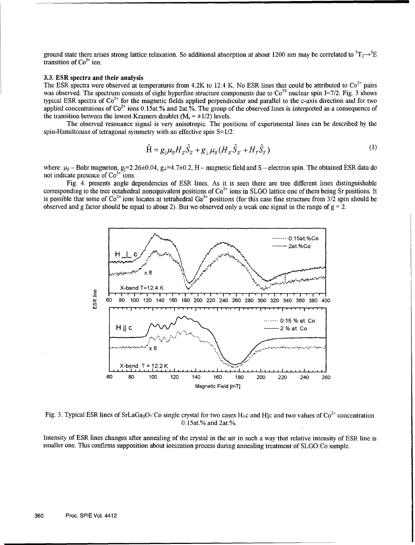ground state there arises strong lattice relaxation. So additional absorption at about 1200 nm may be correlated to  ${}^{5}T_{2}\rightarrow{}^{5}E$ transition of  $Co<sup>3+</sup>$  ion.

### 3.3. ESR spectra and their analysis

The ESR spectra were observed at temperatures from 4.2K to 12.4 K. No ESR lines that could be attributed to  $Co^{2+}$  pairs was observed. The spectrum consists of eight hyperfine structure components due to  $\text{Co}^{59}$  nuclear spin I=7/2. Fig. 3 shows typical ESR spectra of  $Co<sup>2+</sup>$  for the magnetic fields applied perpendicular and parallel to the c-axis direction and for two applied concentrations of  $Co^{2+}$  ions 0.15at.% and 2at.%. The group of the observed lines is interpreted as a consequence of the transition between the lowest Kramers doublet  $(M_s = \pm 1/2)$  levels.

The observed resonance signal is very anisotropic. The positions of experimental lines can be described by the spin-Hamiltonian of tetragonal symmetry with an effective spin S=1/2:

$$
\hat{H} = g_{\parallel} \mu_B H_z \hat{S}_z + g_{\perp} \mu_B (H_x \hat{S}_x + H_y \hat{S}_y)
$$
\n(1)

where:  $\mu_{\beta}$  - Bohr magneton, g<sub>[1</sub>=2.26±0.04, g<sub>1</sub>=4.7±0.2, H - magnetic field and S - electron spin. The obtained ESR data do not indicate presence of  $Co<sup>3+</sup>$  ions.

Fig. 4. presents angle dependencies of ESR lines. As it is seen there are tree different lines distinguishable corresponding to the tree octahedral nonequivalent positions of  $Co<sup>2+</sup>$  ions in SLGO lattice one of them being Sr positions. It is possible that some of  $Co^{2+}$  ions locates at tetrahedral  $Ga^{3+}$  positions (for this case fine structure from 3/2 spin should be observed and g factor should be equal to about 2). But we observed only a weak one signal in the range of  $g = 2$ .



Fig. 3. Typical ESR lines of SrLaGa<sub>3</sub>O<sub>7</sub>:Co single crystal for two cases H<sub>ic</sub> and H||c and two values of Co<sup>2+</sup> concentration 0.l5at.% and 2at.%.

Intensity of ESR lines changes after annealing of the crystal in the air in such a way that relative intensity of ESR line is smaller one. This confirms supposition about ionization process during annealing treatment of SLGO:Co sample.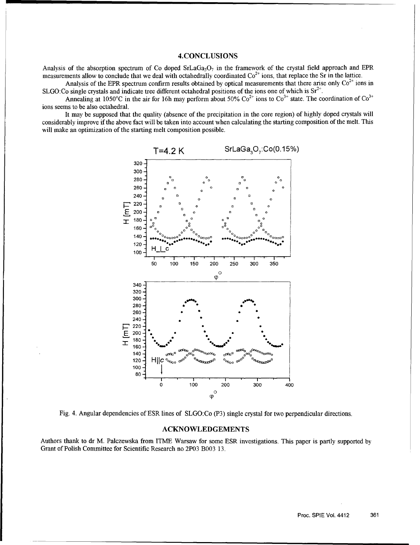# 4.CONCLUSIONS

Analysis of the absorption spectrum of Co doped  $SrLaGa<sub>3</sub>O<sub>7</sub>$  in the framework of the crystal field approach and EPR measurements allow to conclude that we deal with octahedrally coordinated  $Co<sup>2+</sup>$  ions, that replace the Sr in the lattice.

Analysis of the EPR spectrum confirm results obtained by optical measurements that there arise only  $\text{Co}^{2+}$  ions in SLGO:Co single crystals and indicate tree different octahedral positions of the ions one of which is  $Sr^{2+}$ .

Annealing at 1050°C in the air for 16h may perform about 50%  $Co^{2+}$  ions to  $Co^{3+}$  state. The coordination of  $Co^{3+}$ ions seems to be also octahedral.

It may be supposed that the quality (absence of the precipitation in the core region) of highly doped crystals will considerably improve if the above fact will be taken into account when calculating the starting composition of the melt. This will make an optimization of the starting melt composition possible.





#### ACKNOWLEDGEMENTS

Authors thank to dr M. Palczewska from ITME Warsaw for some ESR investigations. This paper is partly supported by Grant of Polish Committee for Scientific Research no 2P03 B003 13.